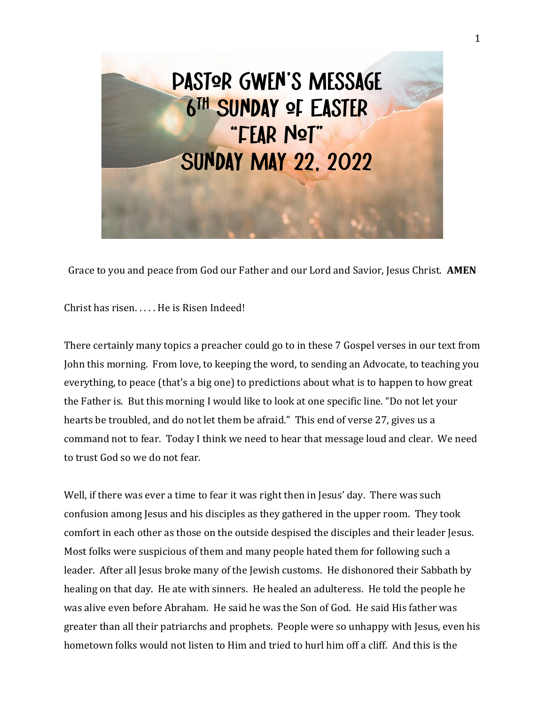

Grace to you and peace from God our Father and our Lord and Savior, Jesus Christ. **AMEN**

Christ has risen. . . . . He is Risen Indeed!

There certainly many topics a preacher could go to in these 7 Gospel verses in our text from John this morning. From love, to keeping the word, to sending an Advocate, to teaching you everything, to peace (that's a big one) to predictions about what is to happen to how great the Father is. But this morning I would like to look at one specific line. "Do not let your hearts be troubled, and do not let them be afraid." This end of verse 27, gives us a command not to fear. Today I think we need to hear that message loud and clear. We need to trust God so we do not fear.

Well, if there was ever a time to fear it was right then in Jesus' day. There was such confusion among Jesus and his disciples as they gathered in the upper room. They took comfort in each other as those on the outside despised the disciples and their leader Jesus. Most folks were suspicious of them and many people hated them for following such a leader. After all Jesus broke many of the Jewish customs. He dishonored their Sabbath by healing on that day. He ate with sinners. He healed an adulteress. He told the people he was alive even before Abraham. He said he was the Son of God. He said His father was greater than all their patriarchs and prophets. People were so unhappy with Jesus, even his hometown folks would not listen to Him and tried to hurl him off a cliff. And this is the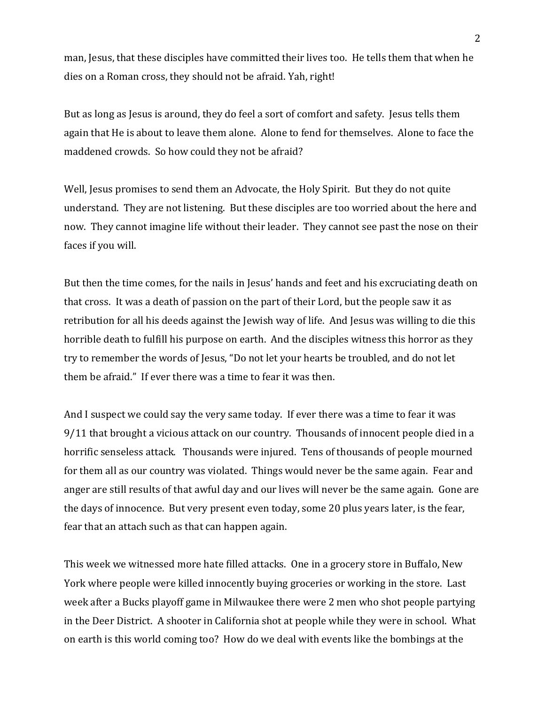man, Jesus, that these disciples have committed their lives too. He tells them that when he dies on a Roman cross, they should not be afraid. Yah, right!

But as long as Jesus is around, they do feel a sort of comfort and safety. Jesus tells them again that He is about to leave them alone. Alone to fend for themselves. Alone to face the maddened crowds. So how could they not be afraid?

Well, Jesus promises to send them an Advocate, the Holy Spirit. But they do not quite understand. They are not listening. But these disciples are too worried about the here and now. They cannot imagine life without their leader. They cannot see past the nose on their faces if you will.

But then the time comes, for the nails in Jesus' hands and feet and his excruciating death on that cross. It was a death of passion on the part of their Lord, but the people saw it as retribution for all his deeds against the Jewish way of life. And Jesus was willing to die this horrible death to fulfill his purpose on earth. And the disciples witness this horror as they try to remember the words of Jesus, "Do not let your hearts be troubled, and do not let them be afraid." If ever there was a time to fear it was then.

And I suspect we could say the very same today. If ever there was a time to fear it was 9/11 that brought a vicious attack on our country. Thousands of innocent people died in a horrific senseless attack. Thousands were injured. Tens of thousands of people mourned for them all as our country was violated. Things would never be the same again. Fear and anger are still results of that awful day and our lives will never be the same again. Gone are the days of innocence. But very present even today, some 20 plus years later, is the fear, fear that an attach such as that can happen again.

This week we witnessed more hate filled attacks. One in a grocery store in Buffalo, New York where people were killed innocently buying groceries or working in the store. Last week after a Bucks playoff game in Milwaukee there were 2 men who shot people partying in the Deer District. A shooter in California shot at people while they were in school. What on earth is this world coming too? How do we deal with events like the bombings at the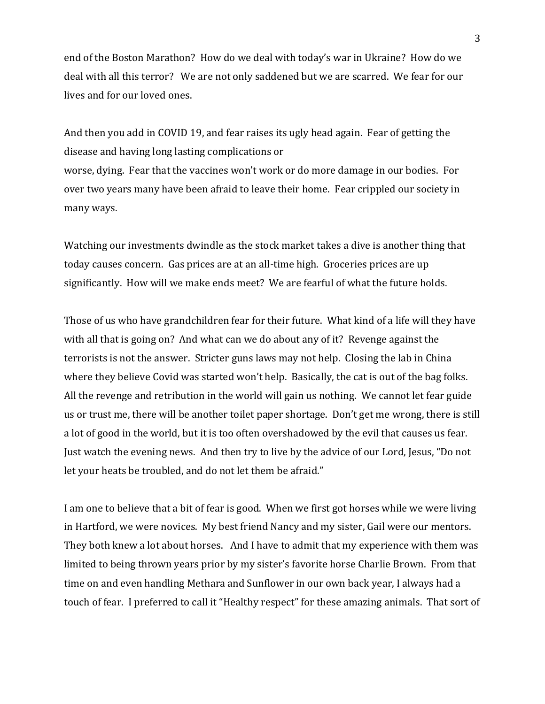end of the Boston Marathon? How do we deal with today's war in Ukraine? How do we deal with all this terror? We are not only saddened but we are scarred. We fear for our lives and for our loved ones.

And then you add in COVID 19, and fear raises its ugly head again. Fear of getting the disease and having long lasting complications or worse, dying. Fear that the vaccines won't work or do more damage in our bodies. For over two years many have been afraid to leave their home. Fear crippled our society in many ways.

Watching our investments dwindle as the stock market takes a dive is another thing that today causes concern. Gas prices are at an all-time high. Groceries prices are up significantly. How will we make ends meet? We are fearful of what the future holds.

Those of us who have grandchildren fear for their future. What kind of a life will they have with all that is going on? And what can we do about any of it? Revenge against the terrorists is not the answer. Stricter guns laws may not help. Closing the lab in China where they believe Covid was started won't help. Basically, the cat is out of the bag folks. All the revenge and retribution in the world will gain us nothing. We cannot let fear guide us or trust me, there will be another toilet paper shortage. Don't get me wrong, there is still a lot of good in the world, but it is too often overshadowed by the evil that causes us fear. Just watch the evening news. And then try to live by the advice of our Lord, Jesus, "Do not let your heats be troubled, and do not let them be afraid."

I am one to believe that a bit of fear is good. When we first got horses while we were living in Hartford, we were novices. My best friend Nancy and my sister, Gail were our mentors. They both knew a lot about horses. And I have to admit that my experience with them was limited to being thrown years prior by my sister's favorite horse Charlie Brown. From that time on and even handling Methara and Sunflower in our own back year, I always had a touch of fear. I preferred to call it "Healthy respect" for these amazing animals. That sort of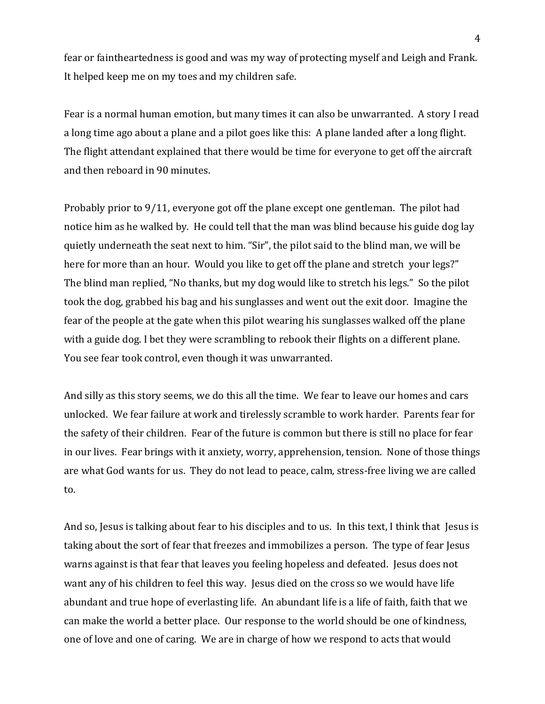fear or faintheartedness is good and was my way of protecting myself and Leigh and Frank. It helped keep me on my toes and my children safe.

Fear is a normal human emotion, but many times it can also be unwarranted. A story I read a long time ago about a plane and a pilot goes like this: A plane landed after a long flight. The flight attendant explained that there would be time for everyone to get off the aircraft and then reboard in 90 minutes.

Probably prior to 9/11, everyone got off the plane except one gentleman. The pilot had notice him as he walked by. He could tell that the man was blind because his guide dog lay quietly underneath the seat next to him. "Sir", the pilot said to the blind man, we will be here for more than an hour. Would you like to get off the plane and stretch your legs?" The blind man replied, "No thanks, but my dog would like to stretch his legs." So the pilot took the dog, grabbed his bag and his sunglasses and went out the exit door. Imagine the fear of the people at the gate when this pilot wearing his sunglasses walked off the plane with a guide dog. I bet they were scrambling to rebook their flights on a different plane. You see fear took control, even though it was unwarranted.

And silly as this story seems, we do this all the time. We fear to leave our homes and cars unlocked. We fear failure at work and tirelessly scramble to work harder. Parents fear for the safety of their children. Fear of the future is common but there is still no place for fear in our lives. Fear brings with it anxiety, worry, apprehension, tension. None of those things are what God wants for us. They do not lead to peace, calm, stress-free living we are called to.

And so, Jesus is talking about fear to his disciples and to us. In this text, I think that Jesus is taking about the sort of fear that freezes and immobilizes a person. The type of fear Jesus warns against is that fear that leaves you feeling hopeless and defeated. Jesus does not want any of his children to feel this way. Jesus died on the cross so we would have life abundant and true hope of everlasting life. An abundant life is a life of faith, faith that we can make the world a better place. Our response to the world should be one of kindness, one of love and one of caring. We are in charge of how we respond to acts that would